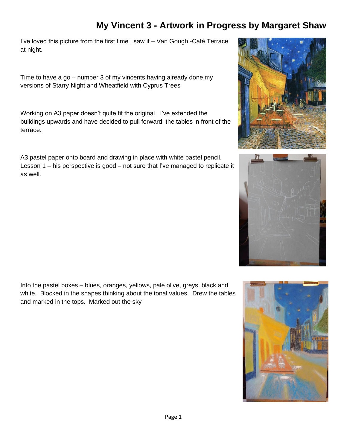I've loved this picture from the first time I saw it – Van Gough -Café Terrace at night.

Time to have a go – number 3 of my vincents having already done my versions of Starry Night and Wheatfield with Cyprus Trees

Working on A3 paper doesn't quite fit the original. I've extended the buildings upwards and have decided to pull forward the tables in front of the terrace.

A3 pastel paper onto board and drawing in place with white pastel pencil. Lesson 1 – his perspective is good – not sure that I've managed to replicate it as well.

Into the pastel boxes – blues, oranges, yellows, pale olive, greys, black and white. Blocked in the shapes thinking about the tonal values. Drew the tables and marked in the tops. Marked out the sky





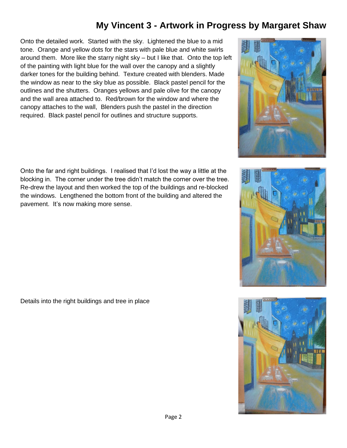Onto the detailed work. Started with the sky. Lightened the blue to a mid tone. Orange and yellow dots for the stars with pale blue and white swirls around them. More like the starry night sky – but I like that. Onto the top left of the painting with light blue for the wall over the canopy and a slightly darker tones for the building behind. Texture created with blenders. Made the window as near to the sky blue as possible. Black pastel pencil for the outlines and the shutters. Oranges yellows and pale olive for the canopy and the wall area attached to. Red/brown for the window and where the canopy attaches to the wall, Blenders push the pastel in the direction required. Black pastel pencil for outlines and structure supports.

Onto the far and right buildings. I realised that I'd lost the way a little at the blocking in. The corner under the tree didn't match the corner over the tree. Re-drew the layout and then worked the top of the buildings and re-blocked the windows. Lengthened the bottom front of the building and altered the pavement. It's now making more sense.

Details into the right buildings and tree in place





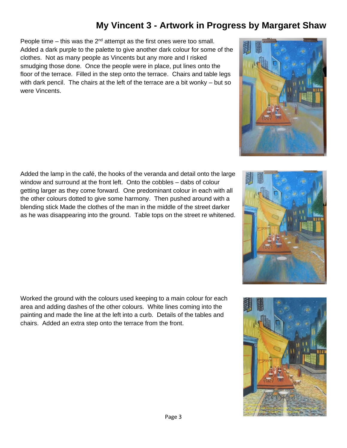People time – this was the  $2<sup>nd</sup>$  attempt as the first ones were too small. Added a dark purple to the palette to give another dark colour for some of the clothes. Not as many people as Vincents but any more and I risked smudging those done. Once the people were in place, put lines onto the floor of the terrace. Filled in the step onto the terrace. Chairs and table legs with dark pencil. The chairs at the left of the terrace are a bit wonky – but so were Vincents.

Added the lamp in the café, the hooks of the veranda and detail onto the large window and surround at the front left. Onto the cobbles – dabs of colour getting larger as they come forward. One predominant colour in each with all the other colours dotted to give some harmony. Then pushed around with a blending stick Made the clothes of the man in the middle of the street darker as he was disappearing into the ground. Table tops on the street re whitened.

Worked the ground with the colours used keeping to a main colour for each area and adding dashes of the other colours. White lines coming into the painting and made the line at the left into a curb. Details of the tables and chairs. Added an extra step onto the terrace from the front.